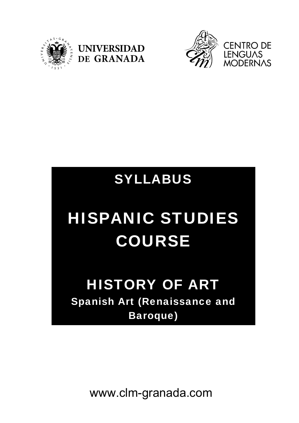





## SYLLABUS

# HISPANIC STUDIES COURSE

### HISTORY OF ART Spanish Art (Renaissance and Baroque)

www.clm-granada.com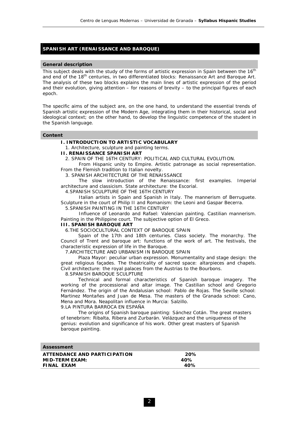#### **SPANISH ART (RENAISSANCE AND BAROQUE)**

#### **General description**

This subject deals with the study of the forms of artistic expression in Spain between the 16<sup>th</sup> and end of the 18<sup>th</sup> centuries, in two differentiated blocks: *Renaissance Art* and *Baroque Art*. The analysis of these two blocks explains the main lines of artistic expression of the period and their evolution, giving attention – for reasons of brevity – to the principal figures of each epoch.

The specific aims of the subject are, on the one hand, to understand the essential trends of Spanish artistic expression of the Modern Age, integrating them in their historical, social and ideological context; on the other hand, to develop the linguistic competence of the student in the Spanish language.

#### **Content**

#### **I. INTRODUCTION TO ARTISTIC VOCABULARY**

1. Architecture, sculpture and painting terms.

#### **II. RENAISSANCE SPANISH ART**

2. SPAIN OF THE 16TH CENTURY: POLITICAL AND CULTURAL EVOLUTION.

From Hispanic unity to Empire. Artistic patronage as social representation. From the Flemish tradition to Italian novelty.

3. SPANISH ARCHITECTURE OF THE RENAISSANCE

The slow introduction of the Renaissance: first examples. Imperial architecture and classicism. State architecture: the Escorial.

4.SPANISH SCULPTURE OF THE 16TH CENTURY

Italian artists in Spain and Spanish in Italy. The mannerism of Berruguete. Sculpture in the court of Philip II and Romanism: the Leoni and Gaspar Becerra.

5.SPANISH PAINTING IN THE 16TH CENTURY

Influence of Leonardo and Rafael: Valencian painting. Castilian mannerism. Painting in the Philippine court. The subjective option of El Greco.

#### **III. SPANISH BAROQUE ART**

6.THE SOCIOCULTURAL CONTEXT OF BAROOUF SPAIN

 Spain of the 17th and 18th centuries. Class society. The monarchy. The Council of Trent and baroque art: functions of the work of art. The festivals, the characteristic expression of life in the Baroque.

7.ARCHITECTURE AND URBANISM IN BAROQUE SPAIN

 Plaza Mayor: peculiar urban expression. Monumentality and stage design: the great religious façades. The theatricality of sacred space: altarpieces and chapels. Civil architecture: the royal palaces from the Austrias to the Bourbons.

8.SPANISH BAROQUE SCULPTURE

 Technical and formal characteristics of Spanish baroque imagery. The working of the processional and altar image. The Castilian school and Gregorio Fernández. The origin of the Andalusian school: Pablo de Rojas. The Seville school: Martinez Montañes and Juan de Mesa. The masters of the Granada school: Cano, Mena and Mora. Neapolitan influence in Murcia: Salzillo.

#### 9.LA PINTURA BARROCA EN ESPAÑA

The origins of Spanish baroque painting: Sánchez Cotán. The great masters of tenebrism: Ribalta, Ribera and Zurbarán. Velázquez and the uniqueness of the genius: evolution and significance of his work. Other great masters of Spanish baroque painting.

| Assessment                   |     |  |
|------------------------------|-----|--|
| ATTENDANCE AND PARTICIPATION | 20% |  |
| MID-TERM EXAM:               | 40% |  |
| FINAL EXAM                   | 40% |  |